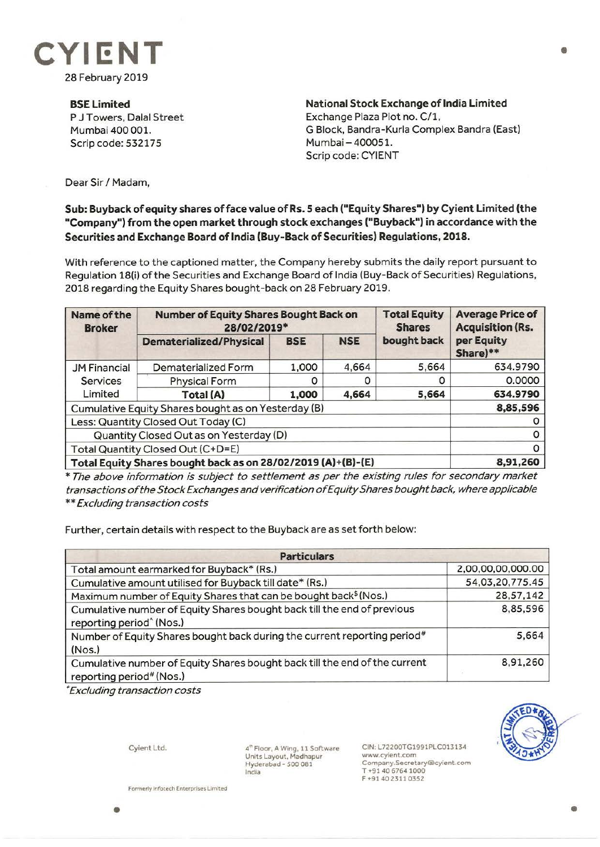

**BSE Limited**  P J Towers, Dalal Street Mumbai 400 001. Scrip code: 532175

**National Stock Exchange of India Limited**  Exchange Plaza Plot no. C/1, G Block, Bandra-Kurla Complex Sandra (East) Mumbai - 400051. Scrip code: CYIENT

Dear Sir/ Madam,

## **Sub: Buyback of equity shares of face value of Rs. 5 each ("Equity Shares") by Cyient Limited (the "Company") from the open market through stock exchanges ("Buyback") in accordance with the Securities and Exchange Board of India (Buy-Back of Securities) Regulations, 2018.**

With reference to the captioned matter, the Company hereby submits the daily report pursuant to Regulation 18(i) of the Securities and Exchange Board of India (Buy-Back of Securities) Regulations, 2018 regarding the Equity Shares bought-back on 28 February 2019.

| Name of the<br><b>Broker</b>                                 | <b>Number of Equity Shares Bought Back on</b><br>28/02/2019* |            |            | <b>Total Equity</b><br><b>Shares</b> | <b>Average Price of</b><br><b>Acquisition (Rs.</b> |
|--------------------------------------------------------------|--------------------------------------------------------------|------------|------------|--------------------------------------|----------------------------------------------------|
|                                                              | <b>Dematerialized/Physical</b>                               | <b>BSE</b> | <b>NSE</b> | bought back                          | per Equity<br>Share)**                             |
| <b>JM Financial</b><br><b>Services</b><br>Limited            | Dematerialized Form                                          | 1,000      | 4,664      | 5,664                                | 634.9790                                           |
|                                                              | <b>Physical Form</b>                                         | $\Omega$   |            | 0                                    | 0.0000                                             |
|                                                              | Total (A)                                                    | 1.000      | 4,664      | 5,664                                | 634.9790                                           |
| Cumulative Equity Shares bought as on Yesterday (B)          |                                                              |            |            |                                      | 8,85,596                                           |
| Less: Quantity Closed Out Today (C)                          |                                                              |            |            |                                      |                                                    |
| Quantity Closed Out as on Yesterday (D)                      |                                                              |            |            |                                      | O                                                  |
| Total Quantity Closed Out (C+D=E)                            |                                                              |            |            |                                      |                                                    |
| Total Equity Shares bought back as on 28/02/2019 (A)+(B)-(E) |                                                              |            |            |                                      | 8,91,260                                           |

\* The above information is subject to settlement as per the existing rules for secondary market transactions of the Stock Exchanges and verification of Equity Shares bought back, where applicable \*\* Excluding transaction costs

Further, certain details with respect to the Buyback are as set forth below:

| <b>Particulars</b>                                                                                              |                   |  |  |  |
|-----------------------------------------------------------------------------------------------------------------|-------------------|--|--|--|
| Total amount earmarked for Buyback* (Rs.)                                                                       | 2,00,00,00,000.00 |  |  |  |
| Cumulative amount utilised for Buyback till date* (Rs.)                                                         | 54,03,20,775.45   |  |  |  |
| Maximum number of Equity Shares that can be bought back <sup>\$</sup> (Nos.)                                    | 28,57,142         |  |  |  |
| Cumulative number of Equity Shares bought back till the end of previous<br>reporting period <sup>^</sup> (Nos.) | 8,85,596          |  |  |  |
| Number of Equity Shares bought back during the current reporting period#<br>(Nos.)                              | 5,664             |  |  |  |
| Cumulative number of Equity Shares bought back till the end of the current<br>reporting period# (Nos.)          | 8,91,260          |  |  |  |

*\*Excluding transaction costs* 

Cyient Ltd.

4~ Floor, A Wing, 11 Software Units Layout. Madhapur Hyderabad - *S00* 081 India

CIN:L72200TG1991PLC013134 www.cyient.com Company.Secretary®cyient.com T •91 40 6764 1000 F •914023110352



•

**Formerly lnfotech Enterprises Limited** 

•